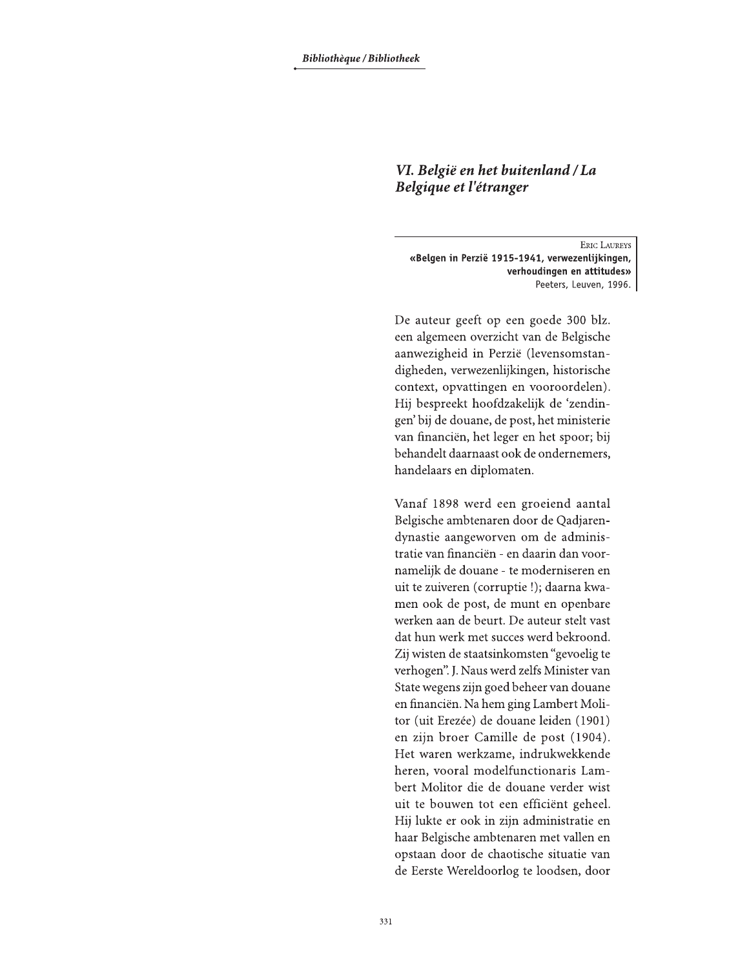## VI. België en het buitenland / La Belgique et l'étranger

**ERIC LAUREYS** «Belgen in Perzië 1915-1941, verwezenlijkingen, verhoudingen en attitudes» Peeters, Leuven, 1996.

De auteur geeft op een goede 300 blz. een algemeen overzicht van de Belgische aanwezigheid in Perzië (levensomstandigheden, verwezenlijkingen, historische context, opvattingen en vooroordelen). Hij bespreekt hoofdzakelijk de 'zendingen' bij de douane, de post, het ministerie van financiën, het leger en het spoor; bij behandelt daarnaast ook de ondernemers, handelaars en diplomaten.

Vanaf 1898 werd een groeiend aantal Belgische ambtenaren door de Qadjarendynastie aangeworven om de administratie van financiën - en daarin dan voornamelijk de douane - te moderniseren en uit te zuiveren (corruptie!); daarna kwamen ook de post, de munt en openbare werken aan de beurt. De auteur stelt vast dat hun werk met succes werd bekroond. Zij wisten de staatsinkomsten "gevoelig te verhogen". J. Naus werd zelfs Minister van State wegens zijn goed beheer van douane en financiën. Na hem ging Lambert Molitor (uit Erezée) de douane leiden (1901) en zijn broer Camille de post (1904). Het waren werkzame, indrukwekkende heren, vooral modelfunctionaris Lambert Molitor die de douane verder wist uit te bouwen tot een efficiënt geheel. Hij lukte er ook in zijn administratie en haar Belgische ambtenaren met vallen en opstaan door de chaotische situatie van de Eerste Wereldoorlog te loodsen, door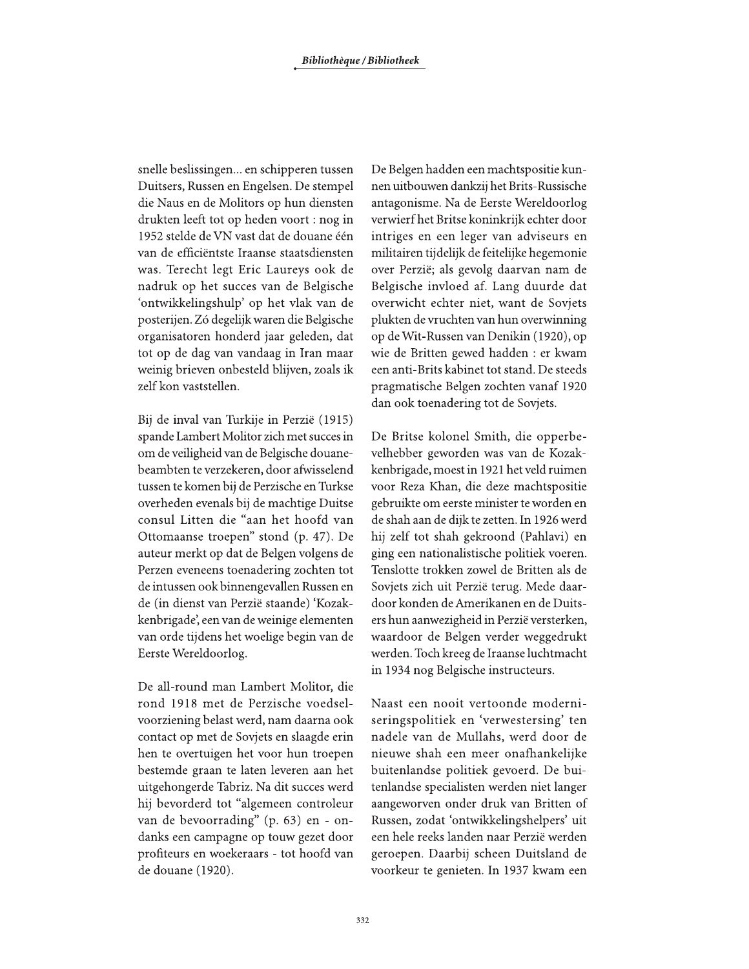snelle beslissingen... en schipperen tussen Duitsers, Russen en Engelsen. De stempel die Naus en de Molitors op hun diensten drukten leeft tot op heden voort: nog in 1952 stelde de VN vast dat de douane één van de efficiëntste Iraanse staatsdiensten was. Terecht legt Eric Laureys ook de nadruk op het succes van de Belgische 'ontwikkelingshulp' op het vlak van de posterijen. Zó degelijk waren die Belgische organisatoren honderd jaar geleden, dat tot op de dag van vandaag in Iran maar weinig brieven onbesteld blijven, zoals ik zelf kon vaststellen.

Bij de inval van Turkije in Perzië (1915) spande Lambert Molitor zich met succes in om de veiligheid van de Belgische douanebeambten te verzekeren, door afwisselend tussen te komen bij de Perzische en Turkse overheden evenals bij de machtige Duitse consul Litten die "aan het hoofd van Ottomaanse troepen" stond (p. 47). De auteur merkt op dat de Belgen volgens de Perzen eveneens toenadering zochten tot de intussen ook binnengevallen Russen en de (in dienst van Perzië staande) 'Kozakkenbrigade', een van de weinige elementen van orde tijdens het woelige begin van de Eerste Wereldoorlog.

De all-round man Lambert Molitor, die rond 1918 met de Perzische voedselvoorziening belast werd, nam daarna ook contact op met de Sovjets en slaagde erin hen te overtuigen het voor hun troepen bestemde graan te laten leveren aan het uitgehongerde Tabriz. Na dit succes werd hij bevorderd tot "algemeen controleur van de bevoorrading" (p. 63) en - ondanks een campagne op touw gezet door profiteurs en woekeraars - tot hoofd van de douane (1920).

De Belgen hadden een machtspositie kunnen uitbouwen dankzij het Brits-Russische antagonisme. Na de Eerste Wereldoorlog verwierf het Britse koninkrijk echter door intriges en een leger van adviseurs en militairen tijdelijk de feitelijke hegemonie over Perzië; als gevolg daarvan nam de Belgische invloed af. Lang duurde dat overwicht echter niet, want de Sovjets plukten de vruchten van hun overwinning op de Wit-Russen van Denikin (1920), op wie de Britten gewed hadden : er kwam een anti-Brits kabinet tot stand. De steeds pragmatische Belgen zochten vanaf 1920 dan ook toenadering tot de Sovjets.

De Britse kolonel Smith, die opperbevelhebber geworden was van de Kozakkenbrigade, moest in 1921 het veld ruimen voor Reza Khan, die deze machtspositie gebruikte om eerste minister te worden en de shah aan de dijk te zetten. In 1926 werd hij zelf tot shah gekroond (Pahlavi) en ging een nationalistische politiek voeren. Tenslotte trokken zowel de Britten als de Sovjets zich uit Perzië terug. Mede daardoor konden de Amerikanen en de Duitsers hun aanwezigheid in Perzië versterken, waardoor de Belgen verder weggedrukt werden. Toch kreeg de Iraanse luchtmacht in 1934 nog Belgische instructeurs.

Naast een nooit vertoonde moderniseringspolitiek en 'verwestersing' ten nadele van de Mullahs, werd door de nieuwe shah een meer onafhankelijke buitenlandse politiek gevoerd. De buitenlandse specialisten werden niet langer aangeworven onder druk van Britten of Russen, zodat 'ontwikkelingshelpers' uit een hele reeks landen naar Perzië werden geroepen. Daarbij scheen Duitsland de voorkeur te genieten. In 1937 kwam een